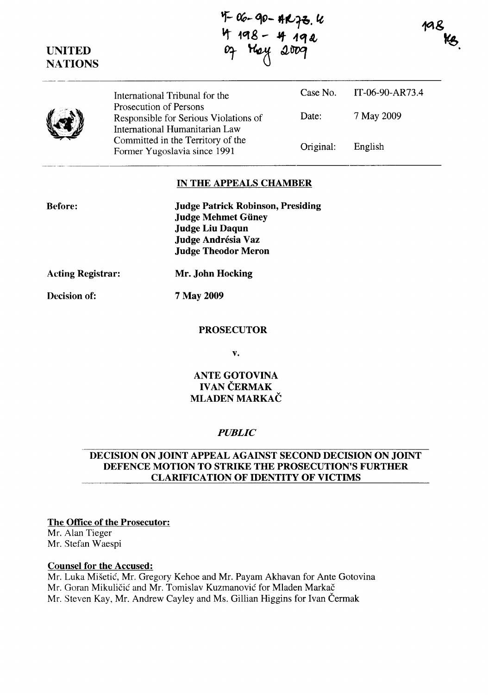**UNITED NATIONS**  07 Hey 2009 International Tribunal for the Prosecution of Persons Responsible for Serious Violations of International Humanitarian Law Committed in the Territory of the Former Yugoslavia since 1991 Case No. Date: Original: IT-06-90-AR73.4 7 May 2009 English

### **IN THE APPEALS CHAMBER**

| <b>Judge Patrick Robinson, Presiding</b> |  |
|------------------------------------------|--|
| <b>Judge Mehmet Güney</b>                |  |
| Judge Liu Daqun                          |  |
| Judge Andrésia Vaz                       |  |
| <b>Judge Theodor Meron</b>               |  |

**Acting Registrar: Mr. John Hocking** 

## **Decision of: 7 May 2009**

**Before:** 

#### **PROSECUTOR**

**v.** 

## **ANTE GOTOVINA**  IVAN CERMAK **MLADEN MARKAC**

### *PUBLIC*

### **DECISION ON JOINT APPEAL AGAINST SECOND DECISION ON JOINT DEFENCE MOTION TO STRIKE THE PROSECUTION'S FURTHER CLARIFICATION OF IDENTITY OF VICTIMS**

## **The Office of the Prosecutor:**

Mr. Alan Tieger Mr. Stefan Waespi

#### **Counsel for the Accused:**

Mr. Luka Misetic, Mr. Gregory Kehoe and Mr. Payam Akhavan for Ante Gotovina Mr. Goran Mikuličić and Mr. Tomislav Kuzmanović for Mladen Markač Mr. Steven Kay, Mr. Andrew Cayley and Ms. Gillian Higgins for Ivan Cermak

**'f- QQ- q,,-** fJ-t,.~. te <sup>~</sup>**1Qg.... .If "'1 (,** 

198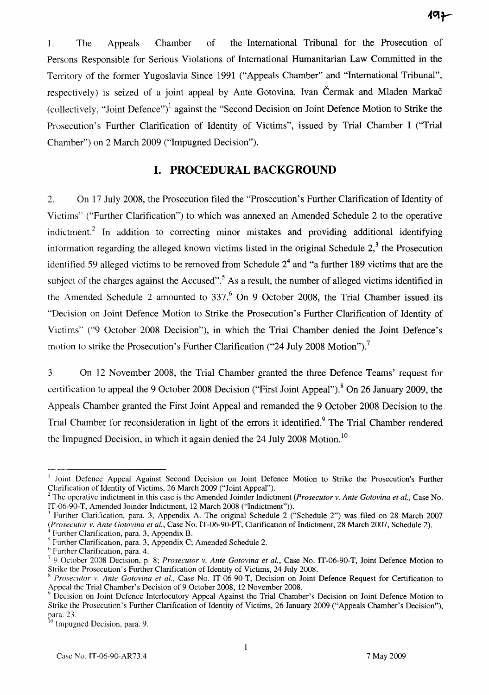1. The Appeals Chamber of the International Tribunal for the Prosecution of Persons Responsible for Serious Violations of International Humanitarian Law Committed in the Territory of the former Yugoslavia Since 1991 ("Appeals Chamber" and "International Tribunal", respectively) is seized of a joint appeal by Ante Gotovina, Ivan Čermak and Mladen Markač (collectively, "Joint Defence")<sup>1</sup> against the "Second Decision on Joint Defence Motion to Strike the Prosecution's Further Clarification of Identity of Victims", issued by Trial Chamber I ("Trial Chamber") on 2 March 2009 ("Impugned Decision").

# **I. PROCEDURAL BACKGROUND**

2. On 17 July 2008, the Prosecution filed the "Prosecution's Further Clarification of Identity of Victims" ("Further Clarification") to which was annexed an Amended Schedule 2 to the operative indictment.<sup>2</sup> In addition to correcting minor mistakes and providing additional identifying information regarding the alleged known victims listed in the original Schedule  $2<sup>3</sup>$ , the Prosecution identified 59 alleged victims to be removed from Schedule  $2<sup>4</sup>$  and "a further 189 victims that are the subject of the charges against the Accused".<sup>5</sup> As a result, the number of alleged victims identified in the Amended Schedule 2 amounted to  $337<sup>6</sup>$  On 9 October 2008, the Trial Chamber issued its "Decision on Joint Defence Motion to Strike the Prosecution's Further Clarification of Identity of Victims" ("9 October 2008 Decision"), in which the Trial Chamber denied the Joint Defence's motion to strike the Prosecution's Further Clarification ("24 July 2008 Motion").<sup>7</sup>

3. On 12 November 2008, the Trial Chamber granted the three Defence Teams' request for certification to appeal the 9 October 2008 Decision ("First Joint Appeal").<sup>8</sup> On 26 January 2009, the Appeals Chamber granted the First Joint Appeal and remanded the 9 October 2008 Decision to the Trial Chamber for reconsideration in light of the errors it identified.<sup>9</sup> The Trial Chamber rendered the Impugned Decision, in which it again denied the 24 July 2008 Motion.<sup>10</sup>

<sup>&</sup>lt;sup>1</sup> Joint Defence Appeal Against Second Decision on Joint Defence Motion to Strike the Prosecution's Further Clarification of Identity of Victims, 26 March 2009 ("Joint Appeal").

<sup>2</sup>The operative indictment in this case is the Amended Joinder Indictment *(Prosecutor* v. *Ante Gotovina et aI.,* Case No. IT-06-90-T, Amended Joinder Indictment, 12 March 2008 ("Indictment")).

 $3$  Further Clarification, para. 3, Appendix A. The original Schedule 2 ("Schedule 2") was filed on 28 March 2007 *(Prosecutor* v. *Ante Gotovina et aI.,* Case No. IT-06-90-PT, Clarification ofIndictment, 28 March 2007, Schedule 2).

<sup>4</sup> Further Clarification, para. 3, Appendix B.

<sup>5</sup> Further Clarification, para. 3, Appendix C; Amended Schedule 2.

<sup>6</sup> Further Clarification, para. 4.

<sup>7 9</sup> October 2008 Decision, p. 8; *Prosecutor* v. *Ante Gotovina et at.,* Case No. IT-06-90-T, Joint Defence Motion to Strike the Prosecution's Further Clarification of Identity of Victims, 24 July 2008.

x *Prosecutor* v. *Ante Gotovina et aI.,* Case No. IT-06-90-T, Decision on Joint Defence Request for Certification to Appeal the Trial Chamber's Decision of 9 October 2008, 12 November 2008.

<sup>~</sup>Decision on Joint Defence Interlocutory Appeal Against the Trial Chamber's Decision on Joint Defence Motion to Strike the Prosecution's Further Clarification of Identity of Victims, 26 January 2009 ("Appeals Chamber's Decision"), para. 23.

 $<sup>0</sup>$  Impugned Decision, para. 9.</sup>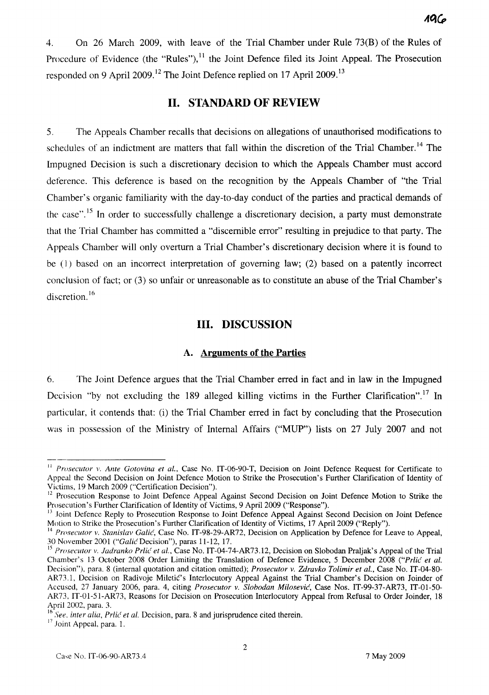4. On 26 March 2009, with leave of the Trial Chamber under Rule 73(B) of the Rules of Procedure of Evidence (the "Rules"),  $^{11}$  the Joint Defence filed its Joint Appeal. The Prosecution responded on 9 April 2009.<sup>12</sup> The Joint Defence replied on 17 April 2009.<sup>13</sup>

# **II. STANDARD OF REVIEW**

5. The Appeals Chamber recalls that decisions on allegations of unauthorised modifications to schedules of an indictment are matters that fall within the discretion of the Trial Chamber.<sup>14</sup> The Impugned Decision is such a discretionary decision to which the Appeals Chamber must accord deference. This deference is based on the recognition by the Appeals Chamber of "the Trial Chamber's organic familiarity with the day-to-day conduct of the parties and practical demands of the case".<sup>15</sup> In order to successfully challenge a discretionary decision, a party must demonstrate that the Trial Chamber has committed a "discernible error" resulting in prejudice to that party. The Appeals Chamber will only overturn a Trial Chamber's discretionary decision where it is found to be (I) based on an incorrect interpretation of governing law; (2) based on a patently incorrect conclusion of fact; or (3) so unfair or unreasonable as to constitute an abuse of the Trial Chamber's discretion.<sup>16</sup>

## **III. DISCUSSION**

#### A. **Arguments of the Parties**

6. The Joint Defence argues that the Trial Chamber erred in fact and in law in the Impugned Decision "by not excluding the 189 alleged killing victims in the Further Clarification".<sup>17</sup> In particular, it contends that: (i) the Trial Chamber erred in fact by concluding that the Prosecution was in possession of the Ministry of Internal Affairs ("MUP") lists on 27 July 2007 and not

<sup>&</sup>lt;sup>11</sup> *Prosecutor v. Ante Gotovina et al.*, Case No. IT-06-90-T, Decision on Joint Defence Request for Certificate to Appeal the Second Decision on Joint Defence Motion to Strike the Prosecution's Further Clarification of Identity of Victims, 19 March 2009 ("Certification Decision").

<sup>&</sup>lt;sup>12</sup> Prosecution Response to Joint Defence Appeal Against Second Decision on Joint Defence Motion to Strike the Prosecution's Further Clarification of Identity of Victims, 9 April 2009 ("Response").

<sup>&</sup>lt;sup>13</sup> Joint Defence Reply to Prosecution Response to Joint Defence Appeal Against Second Decision on Joint Defence Motion to Strike the Prosecution's Further Clarification of Identity of Victims, 17 April 2009 ("Reply").

<sup>14</sup>*Prosecutor v. Stanislav Galic,* Case No. IT-98-29-AR72, Decision on Application by Defence for Leave to Appeal, 30 November 2001 *("Galic* Decision"), paras 11-12, 17.

<sup>&</sup>lt;sup>15</sup> Prosecutor v. Jadranko Prlić et al., Case No. IT-04-74-AR73.12, Decision on Slobodan Praljak's Appeal of the Trial Chamber's 13 October 2008 Order Limiting the Translation of Defence Evidence, 5 December 2008 *("Prlic et al.* Decision"), para. 8 (internal quotation and citation omitted); *Prosecutor v. Zdravko Tolimir et at.,* Case No. IT-04-80- AR73.1, Decision on Radivoje Miletic's Interlocutory Appeal Against the Trial Chamber's Decision on Joinder of Accused, 27 January 2006, para. 4, citing *Prosecutor v. Slohodan Milosevic,* Case Nos. IT-99-37-AR73, IT-OI-50- AR73, IT-01-51-AR73, Reasons for Decision on Prosecution Interlocutory Appeal from Refusal to Order Joinder, 18 April 2002, para. 3.

<sup>16</sup>*See. inter alia, Prlic et al.* Decision, para. 8 and jurisprudence cited therein.

<sup>&</sup>lt;sup>17</sup> Joint Appeal, para. 1.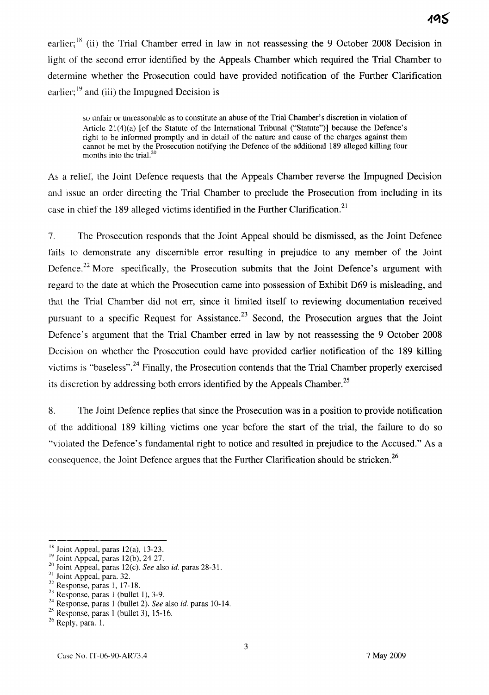earlier:<sup>18</sup> (ii) the Trial Chamber erred in law in not reassessing the 9 October 2008 Decision in light of the second error identified by the Appeals Chamber which required the Trial Chamber to determine whether the Prosecution could have provided notification of the Further Clarification earlier;  $19$  and (iii) the Impugned Decision is

so unfair or unreasonable as to constitute an abuse of the Trial Chamber's discretion in violation of Article 21(4)(a) [of the Statute of the International Tribunal ("Statute")] because the Defence's right to be informed promptly and in detail of the nature and cause of the charges against them cannot be met by the Prosecution notifying the Defence of the additional 189 alleged killing four months into the trial. $2$ 

A~ a relief, the Joint Defence requests that the Appeals Chamber reverse the Impugned Decision and issue an order directing the Trial Chamber to preclude the Prosecution from including in its case in chief the 189 alleged victims identified in the Further Clarification.<sup>21</sup>

7. The Prosecution responds that the Joint Appeal should be dismissed, as the Joint Defence fails to demonstrate any discernible error resulting in prejudice to any member of the Joint Defence.<sup>22</sup> More specifically, the Prosecution submits that the Joint Defence's argument with regard to the date at which the Prosecution came into possession of Exhibit D69 is misleading, and that the Trial Chamber did not err, since it limited itself to reviewing documentation received pursuant to a specific Request for Assistance.<sup>23</sup> Second, the Prosecution argues that the Joint Defence's argument that the Trial Chamber erred in law by not reassessing the 9 October 2008 Decision on whether the Prosecution could have provided earlier notification of the 189 killing victims is "baseless".<sup>24</sup> Finally, the Prosecution contends that the Trial Chamber properly exercised its discretion by addressing both errors identified by the Appeals Chamber.<sup>25</sup>

8. The Joint Defence replies that since the Prosecution was in a position to provide notification of the additional 189 killing victims one year before the start of the trial, the failure to do so "violated the Defence's fundamental right to notice and resulted in prejudice to the Accused." As a consequence, the Joint Defence argues that the Further Clarification should be stricken.<sup>26</sup>

 $18$  Joint Appeal, paras 12(a), 13-23.

 $19$  Joint Appeal, paras 12(b), 24-27.

<sup>20</sup> Joint Appeal, paras 12(c). *See* also id. paras 28-31.

 $21$  Joint Appeal, para. 32.

 $22$  Response, paras 1, 17-18.

 $23$  Response, paras 1 (bullet 1), 3-9.

<sup>24</sup> Response, paras 1 (bullet 2). *See* also id. paras 10-14.

 $25$  Response, paras 1 (bullet 3), 15-16.

<sup>26</sup> Reply, para. 1.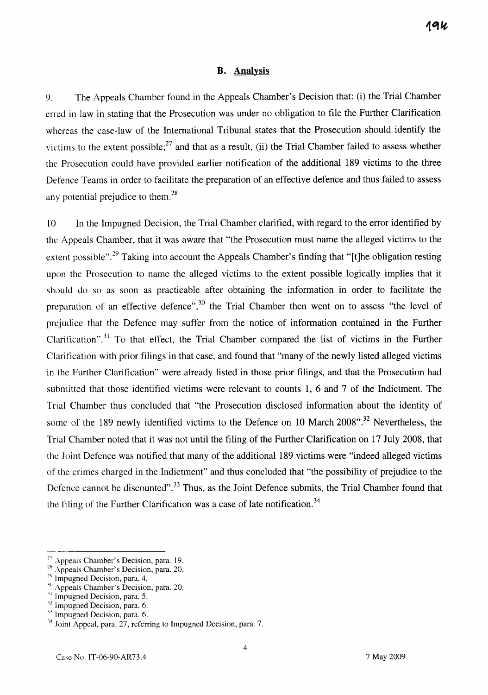#### **B. Analysis**

9. The Appeals Chamber found in the Appeals Chamber's Decision that: (i) the Trial Chamber erred in law in stating that the Prosecution was under no obligation to file the Further Clarification whereas the case-law of the International Tribunal states that the Prosecution should identify the victims to the extent possible;<sup>27</sup> and that as a result, (ii) the Trial Chamber failed to assess whether the Prosecution could have provided earlier notification of the additional 189 victims to the three Defence Teams in order to facilitate the preparation of an effective defence and thus failed to assess any potential prejudice to them.<sup>28</sup>

10. In the Impugned Decision, the Trial Chamber clarified, with regard to the error identified by the Appeals Chamber, that it was aware that "the Prosecution must name the alleged victims to the extent possible".<sup>29</sup> Taking into account the Appeals Chamber's finding that "[t]he obligation resting upon the Prosecution to name the alleged victims to the extent possible logically implies that it should do so as soon as practicable after obtaining the information in order to facilitate the preparation of an effective defence", $30$  the Trial Chamber then went on to assess "the level of prejudice that the Defence may suffer from the notice of information contained in the Further Clarification".<sup>31</sup> To that effect, the Trial Chamber compared the list of victims in the Further Clarification with prior filings in that case, and found that "many of the newly listed alleged victims in the Further Clarification" were already listed in those prior filings, and that the Prosecution had submitted that those identified victims were relevant to counts 1, 6 and 7 of the Indictment. The Trial Chamber thus concluded that "the Prosecution disclosed information about the identity of some of the 189 newly identified victims to the Defence on 10 March 2008".<sup>32</sup> Nevertheless, the Trial Chamber noted that it was not until the filing of the Further Clarification on 17 July 2008, that the Joint Defence was notified that many of the additional 189 victims were "indeed alleged victims of the crimes charged in the Indictment" and thus concluded that "the possibility of prejudice to the Defence cannot be discounted".<sup>33</sup> Thus, as the Joint Defence submits, the Trial Chamber found that the filing of the Further Clarification was a case of late notification.<sup>34</sup>

 $27\,\text{Appeals}$  Chamber's Decision, para. 19.

<sup>&</sup>lt;sup>28</sup> Appeals Chamber's Decision, para. 20.

 $29 \text{ Impugned Decision, para. } 4.$ 

<sup>&</sup>lt;sup>30</sup> Appeals Chamber's Decision, para. 20.

 $31$  Impugned Decision, para. 5.

 $^{52}$  Impugned Decision, para. 6.

 $\frac{33}{1}$  Impugned Decision, para. 6.

<sup>&</sup>lt;sup>34</sup> Joint Appeal, para. 27, referring to Impugned Decision, para. 7.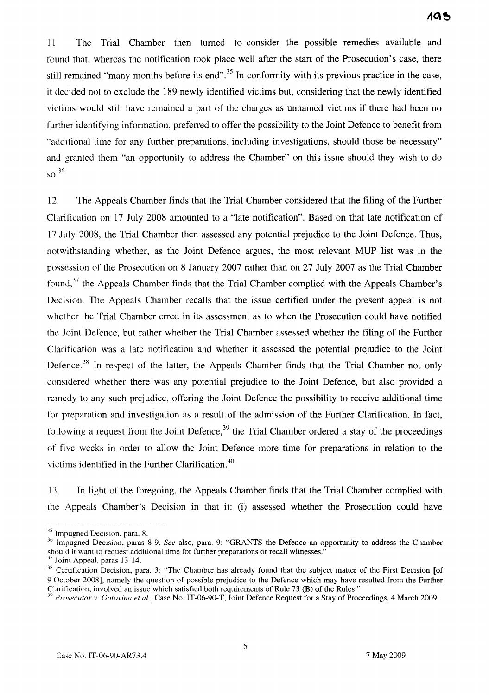11 The Trial Chamber then turned to consider the possible remedies available and found that, whereas the notification took place well after the start of the Prosecution's case, there still remained "many months before its end".<sup>35</sup> In conformity with its previous practice in the case, it decided not to exclude the 189 newly identified victims but, considering that the newly identified victims would still have remained a part of the charges as unnamed victims if there had been no further identifying information, preferred to offer the possibility to the Joint Defence to benefit from "additional time for any further preparations, including investigations, should those be necessary" and granted them "an opportunity to address the Chamber" on this issue should they wish to do  $\mathrm{SO}^{36}$ 

12. The Appeals Chamber finds that the Trial Chamber considered that the filing of the Further Clarification on 17 July 2008 amounted to a "late notification". Based on that late notification of 17 July 2008, the Trial Chamber then assessed any potential prejudice to the Joint Defence. Thus, notwithstanding whether, as the Joint Defence argues, the most relevant MUP list was in the possession of the Prosecution on 8 January 2007 rather than on 27 July 2007 as the Trial Chamber found,<sup>37</sup> the Appeals Chamber finds that the Trial Chamber complied with the Appeals Chamber's Decision. The Appeals Chamber recalls that the issue certified under the present appeal is not whether the Trial Chamber erred in its assessment as to when the Prosecution could have notified the Joint Defence, but rather whether the Trial Chamber assessed whether the filing of the Further Clarification was a late notification and whether it assessed the potential prejudice to the Joint Defence.<sup>38</sup> In respect of the latter, the Appeals Chamber finds that the Trial Chamber not only consldered whether there was any potential prejudice to the Joint Defence, but also provided a remedy to any such prejudice, offering the Joint Defence the possibility to receive additional time for preparation and investigation as a result of the admission of the Further Clarification. In fact, following a request from the Joint Defence,  $39$  the Trial Chamber ordered a stay of the proceedings of five weeks in order to allow the Joint Defence more time for preparations in relation to the victims identified in the Further Clarification.<sup>40</sup>

13. In light of the foregoing, the Appeals Chamber finds that the Trial Chamber complied with the: Appeals Chamber's Decision in that it: (i) assessed whether the Prosecution could have

<sup>&</sup>lt;sup>35</sup> Impugned Decision, para. 8.

<sup>&</sup>lt;sup>36</sup> Impugned Decision, paras 8-9. *See* also, para. 9: "GRANTS the Defence an opportunity to address the Chamber should it want to request additional time for further preparations or recall witnesses."

<sup>&</sup>lt;sup>37</sup> Joint Appeal, paras 13-14.

<sup>&</sup>lt;sup>38</sup> Certification Decision, para. 3: "The Chamber has already found that the subject matter of the First Decision [of 9 October 2008], namely the question of possible prejudice to the Defence which may have resulted from the Further Clarification, involved an issue which satisfied both requirements of Rule 73 (B) of the Rules."

<sup>,</sup>y *Prrlsecutor v. Gotovina et aI.,* Case No. IT-06-90-T, Joint Defence Request for a Stay of Proceedings, 4 March 2009.